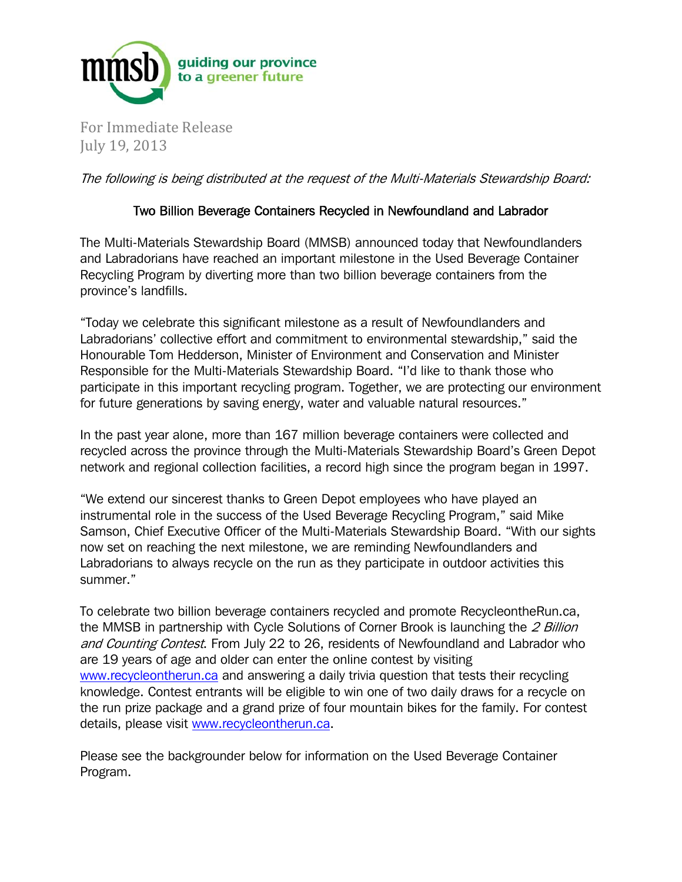

For Immediate Release July 19, 2013

The following is being distributed at the request of the Multi-Materials Stewardship Board:

## Two Billion Beverage Containers Recycled in Newfoundland and Labrador

The Multi-Materials Stewardship Board (MMSB) announced today that Newfoundlanders and Labradorians have reached an important milestone in the Used Beverage Container Recycling Program by diverting more than two billion beverage containers from the province's landfills.

"Today we celebrate this significant milestone as a result of Newfoundlanders and Labradorians' collective effort and commitment to environmental stewardship," said the Honourable Tom Hedderson, Minister of Environment and Conservation and Minister Responsible for the Multi-Materials Stewardship Board. "I'd like to thank those who participate in this important recycling program. Together, we are protecting our environment for future generations by saving energy, water and valuable natural resources."

In the past year alone, more than 167 million beverage containers were collected and recycled across the province through the Multi-Materials Stewardship Board's Green Depot network and regional collection facilities, a record high since the program began in 1997.

"We extend our sincerest thanks to Green Depot employees who have played an instrumental role in the success of the Used Beverage Recycling Program," said Mike Samson, Chief Executive Officer of the Multi-Materials Stewardship Board. "With our sights now set on reaching the next milestone, we are reminding Newfoundlanders and Labradorians to always recycle on the run as they participate in outdoor activities this summer."

To celebrate two billion beverage containers recycled and promote RecycleontheRun.ca, the MMSB in partnership with Cycle Solutions of Corner Brook is launching the 2 Billion and Counting Contest. From July 22 to 26, residents of Newfoundland and Labrador who are 19 years of age and older can enter the online contest by visiting www.recycleontherun.ca and answering a daily trivia question that tests their recycling knowledge. Contest entrants will be eligible to win one of two daily draws for a recycle on the run prize package and a grand prize of four mountain bikes for the family. For contest details, please visit www.recycleontherun.ca.

Please see the backgrounder below for information on the Used Beverage Container Program.